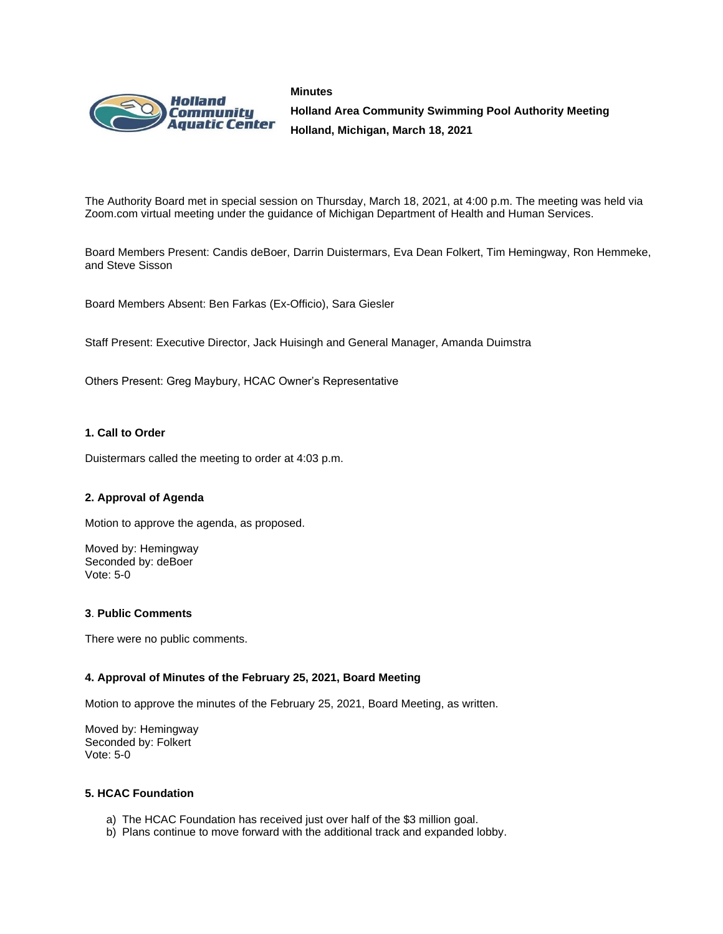



**Holland Area Community Swimming Pool Authority Meeting Holland, Michigan, March 18, 2021**

The Authority Board met in special session on Thursday, March 18, 2021, at 4:00 p.m. The meeting was held via Zoom.com virtual meeting under the guidance of Michigan Department of Health and Human Services.

Board Members Present: Candis deBoer, Darrin Duistermars, Eva Dean Folkert, Tim Hemingway, Ron Hemmeke, and Steve Sisson

Board Members Absent: Ben Farkas (Ex-Officio), Sara Giesler

Staff Present: Executive Director, Jack Huisingh and General Manager, Amanda Duimstra

Others Present: Greg Maybury, HCAC Owner's Representative

### **1. Call to Order**

Duistermars called the meeting to order at 4:03 p.m.

### **2. Approval of Agenda**

Motion to approve the agenda, as proposed.

Moved by: Hemingway Seconded by: deBoer Vote: 5-0

### **3**. **Public Comments**

There were no public comments.

### **4. Approval of Minutes of the February 25, 2021, Board Meeting**

Motion to approve the minutes of the February 25, 2021, Board Meeting, as written.

Moved by: Hemingway Seconded by: Folkert Vote: 5-0

### **5. HCAC Foundation**

- a) The HCAC Foundation has received just over half of the \$3 million goal.
- b) Plans continue to move forward with the additional track and expanded lobby.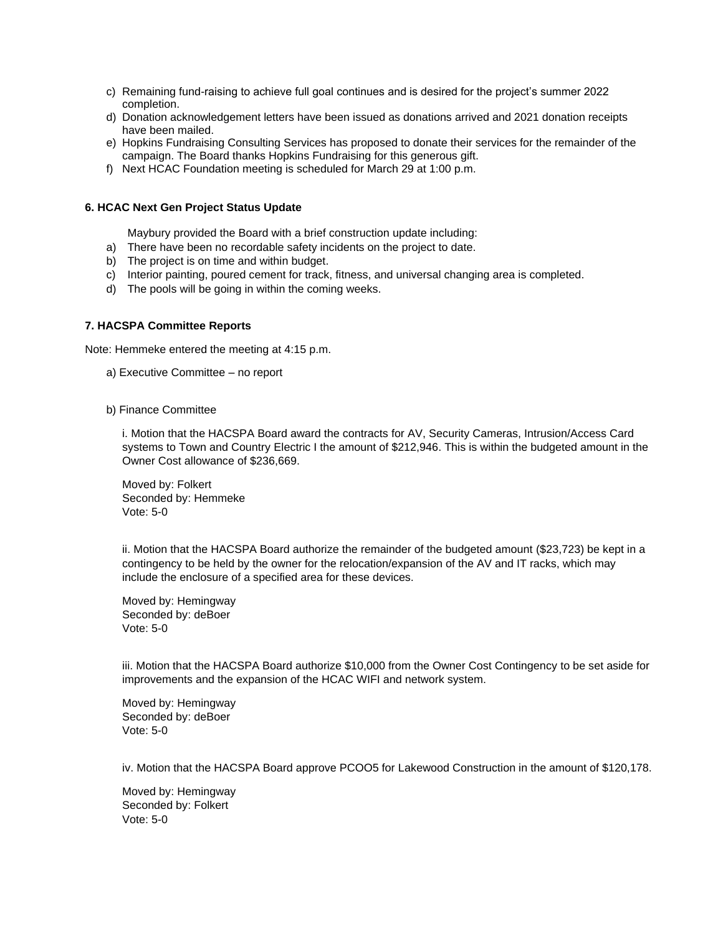- c) Remaining fund-raising to achieve full goal continues and is desired for the project's summer 2022 completion.
- d) Donation acknowledgement letters have been issued as donations arrived and 2021 donation receipts have been mailed.
- e) Hopkins Fundraising Consulting Services has proposed to donate their services for the remainder of the campaign. The Board thanks Hopkins Fundraising for this generous gift.
- f) Next HCAC Foundation meeting is scheduled for March 29 at 1:00 p.m.

## **6. HCAC Next Gen Project Status Update**

Maybury provided the Board with a brief construction update including:

- a) There have been no recordable safety incidents on the project to date.
- b) The project is on time and within budget.
- c) Interior painting, poured cement for track, fitness, and universal changing area is completed.
- d) The pools will be going in within the coming weeks.

## **7. HACSPA Committee Reports**

Note: Hemmeke entered the meeting at 4:15 p.m.

- a) Executive Committee no report
- b) Finance Committee

i. Motion that the HACSPA Board award the contracts for AV, Security Cameras, Intrusion/Access Card systems to Town and Country Electric I the amount of \$212,946. This is within the budgeted amount in the Owner Cost allowance of \$236,669.

Moved by: Folkert Seconded by: Hemmeke Vote: 5-0

ii. Motion that the HACSPA Board authorize the remainder of the budgeted amount (\$23,723) be kept in a contingency to be held by the owner for the relocation/expansion of the AV and IT racks, which may include the enclosure of a specified area for these devices.

Moved by: Hemingway Seconded by: deBoer Vote: 5-0

iii. Motion that the HACSPA Board authorize \$10,000 from the Owner Cost Contingency to be set aside for improvements and the expansion of the HCAC WIFI and network system.

Moved by: Hemingway Seconded by: deBoer Vote: 5-0

iv. Motion that the HACSPA Board approve PCOO5 for Lakewood Construction in the amount of \$120,178.

Moved by: Hemingway Seconded by: Folkert Vote: 5-0